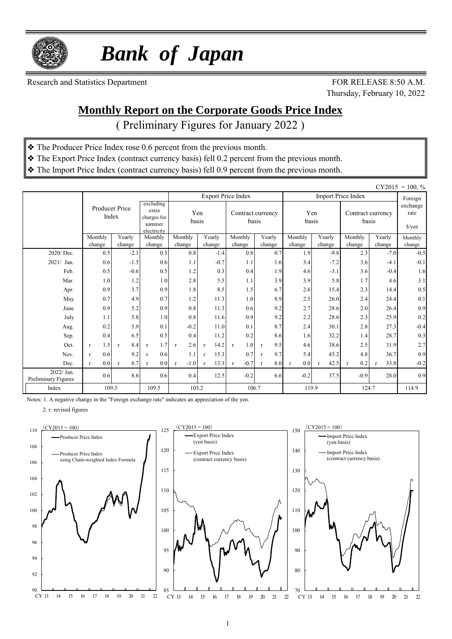

 *Bank of Japan*

Research and Statistics Department FOR RELEASE 8:50 A.M.

Thursday, February 10, 2022

#### **Monthly Report on the Corporate Goods Price Index**

( Preliminary Figures for January 2022 )

- ❖ The Producer Price Index rose 0.6 percent from the previous month.
- ❖ The Export Price Index (contract currency basis) fell 0.2 percent from the previous month.
- ❖ The Import Price Index (contract currency basis) fell 0.9 percent from the previous month.

|                                   |                                            |                     |                                         |                        |                      |                            |                     |                     |                  |                            |                      | $CY2015 = 100, \%$         |
|-----------------------------------|--------------------------------------------|---------------------|-----------------------------------------|------------------------|----------------------|----------------------------|---------------------|---------------------|------------------|----------------------------|----------------------|----------------------------|
|                                   |                                            |                     |                                         |                        |                      | <b>Export Price Index</b>  |                     |                     |                  | <b>Import Price Index</b>  |                      | Foreign                    |
|                                   | Producer Price<br>extra<br>Index<br>summer |                     | excluding<br>charges for<br>electricity | Yen<br>basis           |                      | Contract currency<br>basis |                     | Yen<br>basis        |                  | Contract currency<br>basis |                      | exchange<br>rate<br>\$/yen |
|                                   | Monthly<br>change                          | Yearly<br>change    | Monthly<br>change                       | Monthly<br>change      | Yearly<br>change     | Monthly<br>change          | Yearly<br>change    | Monthly<br>change   | Yearly<br>change | Monthly<br>change          | Yearly<br>change     | Monthly                    |
| 2020/Dec.                         | 0.5                                        | $-2.1$              | 0.5                                     | 0.8                    | $-1.4$               | 0.8                        | 0.7                 | 1.9                 | $-9.8$           | 2.3                        | $-7.0$               | change<br>$-0.5$           |
| $2021/$ Jan.                      | 0.6                                        | $-1.5$              | 0.6                                     | 1.1                    | $-0.7$               | 1.1                        | 1.6                 | 3.4                 | $-7.2$           | 3.6                        | $-4.1$               | $-0.1$                     |
| Feb.                              | 0.5                                        | $-0.6$              | 0.5                                     | 1.2                    | 0.3                  | 0.4                        | 1.9                 | 4.6                 | $-3.1$           | 3.6                        | $-0.4$               | 1.6                        |
| Mar.                              | 1.0                                        | 1.2                 | 1.0                                     | 2.8                    | 5.5                  | 1.1                        | 3.9                 | 3.9                 | 5.8              | 1.7                        | 4.6                  | 3.1                        |
| Apr.                              | 0.9                                        | 3.7                 | 0.9                                     | 1.8                    | 8.5                  | 1.5                        | 6.7                 | 2.6                 | 15.4             | 2.3                        | 14.4                 | 0.5                        |
| May                               | 0.7                                        | 4.9                 | 0.7                                     | 1.2                    | 11.3                 | 1.0                        | 8.9                 | 2.5                 | 26.0             | 2.4                        | 24.4                 | 0.1                        |
| June                              | 0.9                                        | 5.2                 | 0.9                                     | 0.8                    | 11.3                 | 0.6                        | 9.2                 | 2.7                 | 28.6             | 2.0                        | 26.4                 | 0.9                        |
| July                              | 1.1                                        | 5.8                 | 1.0                                     | 0.8                    | 11.6                 | 0.9                        | 9.2                 | 2.2                 | 28.6             | 2.3                        | 25.9                 | 0.2                        |
| Aug.                              | 0.2                                        | 5.9                 | 0.1                                     | $-0.2$                 | 11.0                 | 0.1                        | 8.7                 | 2.4                 | 30.1             | 2.8                        | 27.3                 | $-0.4$                     |
| Sep.                              | 0.4                                        | 6.5                 | 0.5                                     | 0.4                    | 11.2                 | 0.2                        | 8.6                 | 1.6                 | 32.2             | 1.4                        | 28.7                 | 0.3                        |
| Oct.                              | 1.5<br>$\mathbf{r}$                        | 8.4<br>$\mathbf{r}$ | 1.7<br>$\mathbf{r}$                     | 2.6<br>$\mathbf{r}$    | 14.2<br>$\mathbf{r}$ | 1.0<br>$\mathbf{r}$        | 9.5<br>$\mathbf{r}$ | 4.6                 | 38.6             | 2.5                        | 31.9                 | $2.7\,$                    |
| Nov.                              | 0.6<br>$\mathbf{r}$                        | 9.2                 | 0.6<br>$\mathbf{r}$                     | 1.1                    | 15.3<br>$\mathbf{r}$ | 0.7                        | 9.7<br>$\mathbf{r}$ | 5.4                 | 45.2             | 4.8                        | 36.7                 | 0.9                        |
| Dec.                              | 0.0<br>$\mathbf{r}$                        | 8.7<br>$\mathbf{r}$ | 0.0<br>$\mathbf{r}$                     | $-1.0$<br>$\mathbf{r}$ | 13.3<br>$\mathbf{r}$ | $-0.7$<br>$\mathbf{r}$     | 8.0<br>$\mathbf{r}$ | 0.0<br>$\mathbf{r}$ | 42.5             | 0.2<br>$\mathbf{r}$        | 33.8<br>$\mathbf{r}$ | $-0.2$                     |
| 2022/ Jan.<br>Preliminary Figures | 0.6                                        | 8.6                 | 0.6                                     | 0.4                    | 12.5                 | $-0.2$                     | 6.6                 | $-0.2$              | 37.5             | $-0.9$                     | 28.0                 | 0.9                        |
| Index                             | 109.5                                      |                     | 109.5                                   | 103.2                  |                      | 106.7                      |                     | 119.9               |                  | 124.7                      |                      | 114.9                      |

Notes: 1. A negative change in the "Foreign exchange rate" indicates an appreciation of the yen.

2. r: revised figures



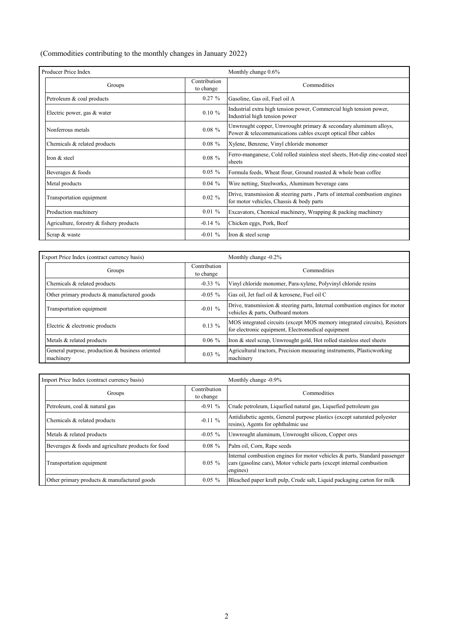(Commodities contributing to the monthly changes in January 2022)

| Producer Price Index                     |                           | Monthly change 0.6%                                                                                                               |
|------------------------------------------|---------------------------|-----------------------------------------------------------------------------------------------------------------------------------|
| Groups                                   | Contribution<br>to change | Commodities                                                                                                                       |
| Petroleum & coal products                | $0.27 \%$                 | Gasoline, Gas oil, Fuel oil A                                                                                                     |
| Electric power, gas & water              | $0.10 \%$                 | Industrial extra high tension power, Commercial high tension power,<br>Industrial high tension power                              |
| Nonferrous metals                        | $0.08 \%$                 | Unwrought copper, Unwrought primary & secondary aluminum alloys,<br>Power & telecommunications cables except optical fiber cables |
| Chemicals & related products             | $0.08 \%$                 | Xylene, Benzene, Vinyl chloride monomer                                                                                           |
| Iron & steel                             | $0.08 \%$                 | Ferro-manganese, Cold rolled stainless steel sheets, Hot-dip zinc-coated steel<br>sheets                                          |
| Beverages & foods                        | $0.05 \%$                 | Formula feeds, Wheat flour, Ground roasted & whole bean coffee                                                                    |
| Metal products                           | $0.04\%$                  | Wire netting, Steelworks, Aluminum beverage cans                                                                                  |
| Transportation equipment                 | $0.02 \%$                 | Drive, transmission $\&$ steering parts, Parts of internal combustion engines<br>for motor vehicles, Chassis & body parts         |
| Production machinery                     | $0.01 \%$                 | Excavators, Chemical machinery, Wrapping & packing machinery                                                                      |
| Agriculture, forestry & fishery products | $-0.14\%$                 | Chicken eggs, Pork, Beef                                                                                                          |
| Scrap & waste                            | $-0.01\%$                 | Iron & steel scrap                                                                                                                |

| Export Price Index (contract currency basis)                 |                           | Monthly change -0.2%                                                                                                             |  |  |  |  |
|--------------------------------------------------------------|---------------------------|----------------------------------------------------------------------------------------------------------------------------------|--|--|--|--|
| Groups                                                       | Contribution<br>to change | Commodities                                                                                                                      |  |  |  |  |
| Chemicals & related products                                 | $-0.33\%$                 | Vinyl chloride monomer, Para-xylene, Polyvinyl chloride resins                                                                   |  |  |  |  |
| Other primary products & manufactured goods                  | $-0.05\%$                 | Gas oil, Jet fuel oil & kerosene, Fuel oil C                                                                                     |  |  |  |  |
| Transportation equipment                                     | $-0.01\%$                 | Drive, transmission $\&$ steering parts, Internal combustion engines for motor<br>vehicles & parts, Outboard motors              |  |  |  |  |
| Electric & electronic products                               | $0.13\%$                  | MOS integrated circuits (except MOS memory integrated circuits), Resistors<br>for electronic equipment, Electromedical equipment |  |  |  |  |
| Metals & related products                                    | $0.06\%$                  | Iron & steel scrap, Unwrought gold, Hot rolled stainless steel sheets                                                            |  |  |  |  |
| General purpose, production & business oriented<br>machinery | $0.03\%$                  | Agricultural tractors, Precision measuring instruments, Plasticworking<br>machinery                                              |  |  |  |  |

| Import Price Index (contract currency basis)        |                           | Monthly change -0.9%                                                                                                                                            |  |  |  |  |
|-----------------------------------------------------|---------------------------|-----------------------------------------------------------------------------------------------------------------------------------------------------------------|--|--|--|--|
| Groups                                              | Contribution<br>to change | Commodities                                                                                                                                                     |  |  |  |  |
| Petroleum, coal & natural gas                       | $-0.91\%$                 | Crude petroleum, Liquefied natural gas, Liquefied petroleum gas                                                                                                 |  |  |  |  |
| Chemicals & related products                        | $-0.11 \%$                | Antidiabetic agents, General purpose plastics (except saturated polyester<br>resins), Agents for ophthalmic use                                                 |  |  |  |  |
| Metals & related products                           | $-0.05\%$                 | Unwrought aluminum, Unwrought silicon, Copper ores                                                                                                              |  |  |  |  |
| Beverages & foods and agriculture products for food | $0.08 \%$                 | Palm oil, Corn, Rape seeds                                                                                                                                      |  |  |  |  |
| Transportation equipment                            | $0.05\%$                  | Internal combustion engines for motor vehicles & parts, Standard passenger<br>cars (gasoline cars), Motor vehicle parts (except internal combustion<br>engines) |  |  |  |  |
| Other primary products & manufactured goods         | $0.05 \%$                 | Bleached paper kraft pulp, Crude salt, Liquid packaging carton for milk                                                                                         |  |  |  |  |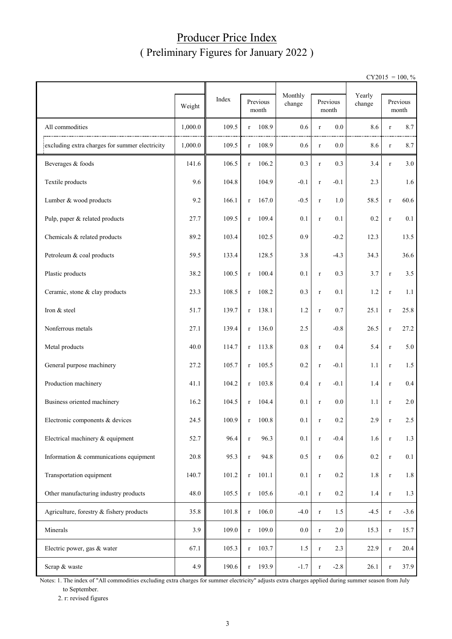## Producer Price Index ( Preliminary Figures for January 2022 )

 $CY2015 = 100, \%$ 

|                                                | Weight  | Index |             | Previous<br>month | Monthly<br>change |             | Previous<br>month | Yearly<br>change |             | Previous<br>month |
|------------------------------------------------|---------|-------|-------------|-------------------|-------------------|-------------|-------------------|------------------|-------------|-------------------|
| All commodities                                | 1,000.0 | 109.5 | $\bf r$     | 108.9             | 0.6               | $\bf r$     | 0.0               | 8.6              | $\bf r$     | 8.7               |
| excluding extra charges for summer electricity | 1,000.0 | 109.5 | $\bf r$     | 108.9             | 0.6               | $\bf r$     | 0.0               | 8.6              | $\bf r$     | 8.7               |
| Beverages & foods                              | 141.6   | 106.5 | $\mathbf r$ | 106.2             | 0.3               | $\bf r$     | 0.3               | 3.4              | $\bf r$     | 3.0               |
| Textile products                               | 9.6     | 104.8 |             | 104.9             | $-0.1$            | $\bf r$     | $-0.1$            | 2.3              |             | 1.6               |
| Lumber & wood products                         | 9.2     | 166.1 | $\bf r$     | 167.0             | $-0.5$            | $\bf r$     | 1.0               | 58.5             | $\bf r$     | 60.6              |
| Pulp, paper & related products                 | 27.7    | 109.5 | $\bf r$     | 109.4             | 0.1               | $\bf r$     | 0.1               | 0.2              | $\bf r$     | 0.1               |
| Chemicals & related products                   | 89.2    | 103.4 |             | 102.5             | 0.9               |             | $-0.2$            | 12.3             |             | 13.5              |
| Petroleum & coal products                      | 59.5    | 133.4 |             | 128.5             | 3.8               |             | $-4.3$            | 34.3             |             | 36.6              |
| Plastic products                               | 38.2    | 100.5 | $\bf r$     | 100.4             | 0.1               | $\bf r$     | 0.3               | 3.7              | $\bf r$     | 3.5               |
| Ceramic, stone & clay products                 | 23.3    | 108.5 | $\bf r$     | 108.2             | 0.3               | $\bf r$     | 0.1               | 1.2              | $\bf r$     | 1.1               |
| Iron & steel                                   | 51.7    | 139.7 | $\bf r$     | 138.1             | 1.2               | $\bf r$     | 0.7               | 25.1             | $\bf r$     | 25.8              |
| Nonferrous metals                              | 27.1    | 139.4 | $\bf r$     | 136.0             | 2.5               |             | $-0.8$            | 26.5             | $\bf r$     | 27.2              |
| Metal products                                 | 40.0    | 114.7 | $\bf r$     | 113.8             | 0.8               | $\bf r$     | 0.4               | 5.4              | $\bf r$     | 5.0               |
| General purpose machinery                      | 27.2    | 105.7 | r           | 105.5             | 0.2               | $\bf r$     | $-0.1$            | 1.1              | $\bf r$     | 1.5               |
| Production machinery                           | 41.1    | 104.2 | r           | 103.8             | 0.4               | $\bf r$     | $-0.1$            | 1.4              | $\bf r$     | $0.4\,$           |
| Business oriented machinery                    | 16.2    | 104.5 | r           | 104.4             | 0.1               | $\bf r$     | 0.0               | 1.1              | $\bf r$     | 2.0               |
| Electronic components & devices                | 24.5    | 100.9 | r           | 100.8             | 0.1               | r           | 0.2               | 2.9              | r           | 2.5               |
| Electrical machinery & equipment               | 52.7    | 96.4  | $\mathbf r$ | 96.3              | 0.1               | $\mathbf r$ | $-0.4$            | 1.6              | $\mathbf r$ | 1.3               |
| Information & communications equipment         | 20.8    | 95.3  | $\bf r$     | 94.8              | 0.5               | $\bf r$     | $0.6\,$           | 0.2              | $\bf r$     | 0.1               |
| Transportation equipment                       | 140.7   | 101.2 | $\bf r$     | 101.1             | 0.1               | $\bf r$     | $0.2\,$           | $1.8\,$          | $\bf r$     | 1.8               |
| Other manufacturing industry products          | 48.0    | 105.5 | $\bf r$     | 105.6             | $-0.1$            | $\bf r$     | $0.2\,$           | 1.4              | $\bf r$     | 1.3               |
| Agriculture, forestry & fishery products       | 35.8    | 101.8 | $\bf r$     | 106.0             | $-4.0$            | $\bf r$     | 1.5               | $-4.5$           | $\bf r$     | $-3.6$            |
| Minerals                                       | 3.9     | 109.0 | $\bf r$     | 109.0             | $0.0\,$           | $\bf r$     | 2.0               | 15.3             | $\bf r$     | 15.7              |
| Electric power, gas & water                    | 67.1    | 105.3 | $\bf r$     | 103.7             | $1.5\,$           | $\bf r$     | 2.3               | 22.9             | $\bf r$     | 20.4              |
| Scrap & waste                                  | 4.9     | 190.6 | $\bf r$     | 193.9             | $-1.7$            | $\bf r$     | $-2.8$            | 26.1             | $\bf r$     | 37.9              |

Notes: 1. The index of "All commodities excluding extra charges for summer electricity" adjusts extra charges applied during summer season from July to September.

2. r: revised figures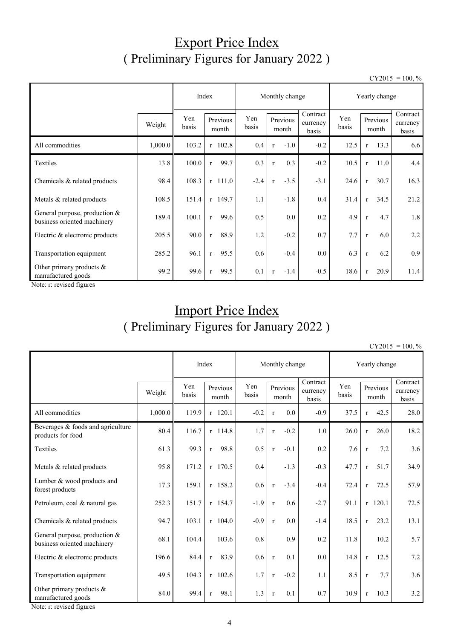## Export Price Index ( Preliminary Figures for January 2022 )

 $CY2015 = 100, \%$ 

|                                                              |         | Index        | Monthly change       | Yearly change |                        |                               |              |              |                   |                               |
|--------------------------------------------------------------|---------|--------------|----------------------|---------------|------------------------|-------------------------------|--------------|--------------|-------------------|-------------------------------|
|                                                              | Weight  | Yen<br>basis | Previous<br>month    | Yen<br>basis  | Previous<br>month      | Contract<br>currency<br>basis | Yen<br>basis |              | Previous<br>month | Contract<br>currency<br>basis |
| All commodities                                              | 1,000.0 | 103.2        | $r$ 102.8            | 0.4           | $-1.0$<br>$\mathbf{r}$ | $-0.2$                        | 12.5         | $\mathbf{r}$ | 13.3              | 6.6                           |
| Textiles                                                     | 13.8    | 100.0        | 99.7<br>$\mathbf{r}$ | 0.3           | 0.3<br>$\mathbf r$     | $-0.2$                        | 10.5         | $\mathbf{r}$ | 11.0              | 4.4                           |
| Chemicals & related products                                 | 98.4    | 108.3        | $r$ 111.0            | $-2.4$        | $-3.5$<br>$\mathbf{r}$ | $-3.1$                        | 24.6         | $\mathbf{r}$ | 30.7              | 16.3                          |
| Metals & related products                                    | 108.5   | 151.4        | $r$ 149.7            | 1.1           | $-1.8$                 | 0.4                           | 31.4         | $\mathbf{r}$ | 34.5              | 21.2                          |
| General purpose, production &<br>business oriented machinery | 189.4   | 100.1        | 99.6<br>$\mathbf{r}$ | 0.5           | $0.0\,$                | 0.2                           | 4.9          | $\mathbf{r}$ | 4.7               | 1.8                           |
| Electric & electronic products                               | 205.5   | 90.0         | 88.9<br>$\mathbf{r}$ | 1.2           | $-0.2$                 | 0.7                           | 7.7          | $\mathbf{r}$ | 6.0               | 2.2                           |
| Transportation equipment                                     | 285.2   | 96.1         | 95.5<br>$\mathbf{r}$ | 0.6           | $-0.4$                 | $0.0\,$                       | 6.3          | $\mathbf{r}$ | 6.2               | 0.9                           |
| Other primary products $&$<br>manufactured goods<br>$\sim$   | 99.2    | 99.6         | 99.5<br>$\mathbf{r}$ | 0.1           | $-1.4$<br>$\mathbf{r}$ | $-0.5$                        | 18.6         | $\mathbf{r}$ | 20.9              | 11.4                          |

Note: r: revised figures

# Import Price Index ( Preliminary Figures for January 2022 )

 $CY2015 = 100, \%$ 

|                                                              |         | Index        | Monthly change       |              |                   |        | Yearly change                 |              |              |                   |                               |
|--------------------------------------------------------------|---------|--------------|----------------------|--------------|-------------------|--------|-------------------------------|--------------|--------------|-------------------|-------------------------------|
|                                                              | Weight  | Yen<br>basis | Previous<br>month    | Yen<br>basis | Previous<br>month |        | Contract<br>currency<br>basis | Yen<br>basis |              | Previous<br>month | Contract<br>currency<br>basis |
| All commodities                                              | 1,000.0 | 119.9        | $r$ 120.1            | $-0.2$       | $\mathbf{r}$      | 0.0    | $-0.9$                        | 37.5         | $\mathbf{r}$ | 42.5              | 28.0                          |
| Beverages & foods and agriculture<br>products for food       | 80.4    | 116.7        | $r$ 114.8            | 1.7          | $\mathbf{r}$      | $-0.2$ | 1.0                           | 26.0         | $\mathbf{r}$ | 26.0              | 18.2                          |
| Textiles                                                     | 61.3    | 99.3         | 98.8<br>$\mathbf{r}$ | 0.5          | $\mathbf{r}$      | $-0.1$ | 0.2                           | 7.6          | $\mathbf{r}$ | 7.2               | 3.6                           |
| Metals & related products                                    | 95.8    | 171.2        | $r$ 170.5            | 0.4          |                   | $-1.3$ | $-0.3$                        | 47.7         | $\mathbf{r}$ | 51.7              | 34.9                          |
| Lumber & wood products and<br>forest products                | 17.3    | 159.1        | r 158.2              | 0.6          | $\mathbf{r}$      | $-3.4$ | $-0.4$                        | 72.4         | $\mathbf{r}$ | 72.5              | 57.9                          |
| Petroleum, coal & natural gas                                | 252.3   | 151.7        | $r$ 154.7            | $-1.9$       | $\mathbf{r}$      | 0.6    | $-2.7$                        | 91.1         |              | $r$ 120.1         | 72.5                          |
| Chemicals & related products                                 | 94.7    | 103.1        | $r$ 104.0            | $-0.9$       | $\mathbf r$       | 0.0    | $-1.4$                        | 18.5         | $\mathbf{r}$ | 23.2              | 13.1                          |
| General purpose, production &<br>business oriented machinery | 68.1    | 104.4        | 103.6                | 0.8          |                   | 0.9    | 0.2                           | 11.8         |              | 10.2              | 5.7                           |
| Electric & electronic products                               | 196.6   | 84.4         | 83.9<br>r            | 0.6          | $\mathbf{r}$      | 0.1    | 0.0                           | 14.8         | $\mathbf{r}$ | 12.5              | 7.2                           |
| Transportation equipment                                     | 49.5    | 104.3        | $r$ 102.6            | 1.7          | $\mathbf r$       | $-0.2$ | 1.1                           | 8.5          | $\mathbf{r}$ | 7.7               | 3.6                           |
| Other primary products &<br>manufactured goods               | 84.0    | 99.4         | 98.1<br>$\mathbf{r}$ | 1.3          | $\mathbf{r}$      | 0.1    | 0.7                           | 10.9         | $\mathbf{r}$ | 10.3              | 3.2                           |

Note: r: revised figures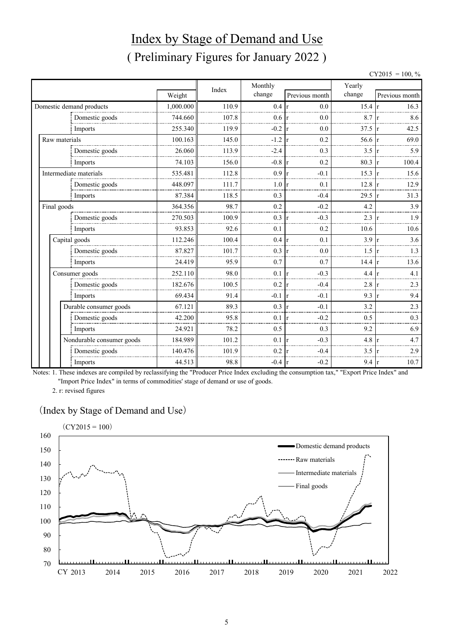# Index by Stage of Demand and Use ( Preliminary Figures for January 2022 )

|                           |           |       |                  |                     |        |    | $CY2015 = 100, \%$ |
|---------------------------|-----------|-------|------------------|---------------------|--------|----|--------------------|
|                           |           | Index | Monthly          |                     | Yearly |    |                    |
|                           | Weight    |       | change           | Previous month      | change |    | Previous month     |
| Domestic demand products  | 1,000.000 | 110.9 | $0.4\,$          | 0.0<br>$\mathbf{r}$ | 15.4   |    | 16.3               |
| Domestic goods            | 744.660   | 107.8 | 0.6              | 0.0                 | 8.7    |    | 8.6                |
| Imports                   | 255.340   | 119.9 | $-0.2$           | 0.0                 | 37.5   |    | 42.5               |
| Raw materials             | 100.163   | 145.0 | $-1.2$           | 0.2                 | 56.6   |    | 69.0               |
| Domestic goods            | 26.060    | 113.9 | $-2.4$           | 0.3                 | 3.5    | 1r | 5.9                |
| Imports                   | 74.103    | 156.0 | $-0.8$           | 0.2                 | 80.3   | 1r | 100.4              |
| Intermediate materials    | 535.481   | 112.8 | 0.9              | $-0.1$              | 15.3   |    | 15.6               |
| Domestic goods            | 448.097   | 111.7 | 1.0              | 0.1                 | 12.8   |    | 12.9               |
| Imports                   | 87.384    | 118.5 | 0.3              | $-0.4$              | 29.5   | 1r | 31.3               |
| Final goods               | 364.356   | 98.7  | 0.2              | $-0.2$              | 4.2    |    | 3.9                |
| Domestic goods            | 270.503   | 100.9 | 0.3              | $-0.3$              | 2.3    |    | 1.9                |
| Imports                   | 93.853    | 92.6  | 0.1              | 0.2                 | 10.6   |    | 10.6               |
| Capital goods             | 112.246   | 100.4 | 0.4              | 0.1                 | 3.9    |    | 3.6                |
| Domestic goods            | 87.827    | 101.7 | 0.3              | 0.0                 | 1.5    |    | 1.3                |
| Imports                   | 24.419    | 95.9  | 0.7              | 0.7                 | 14.4   |    | 13.6               |
| Consumer goods            | 252.110   | 98.0  | 0.1              | $-0.3$<br>r         | 4.4    |    | 4.1                |
| Domestic goods            | 182.676   | 100.5 | 0.2              | $-0.4$<br>r         | 2.8    | 1r | 2.3                |
| Imports                   | 69.434    | 91.4  | $-0.1 \text{ r}$ | $-0.1$              | 9.3    |    | 9.4                |
| Durable consumer goods    | 67.121    | 89.3  | 0.3              | $-0.1$              | 3.2    |    | 2.3                |
| Domestic goods            | 42.200    | 95.8  | 0.1              | $-0.2$              | 0.5    |    | 0.3                |
| Imports                   | 24.921    | 78.2  | 0.5              | 0.3                 | 9.2    |    | 6.9                |
| Nondurable consumer goods | 184.989   | 101.2 | 0.1              | $-0.3$<br>r         | 4.8    |    | 4.7                |
| Domestic goods            | 140.476   | 101.9 | 0.2              | $-0.4$              | 3.5    |    | 2.9                |
| Imports                   | 44.513    | 98.8  | $-0.4 \text{ r}$ | $-0.2$              | 9.4    | 1r | 10.7               |

Notes: 1. These indexes are compiled by reclassifying the "Producer Price Index excluding the consumption tax," "Export Price Index" and "Import Price Index" in terms of commodities' stage of demand or use of goods.

2. r: revised figures

#### (Index by Stage of Demand and Use)

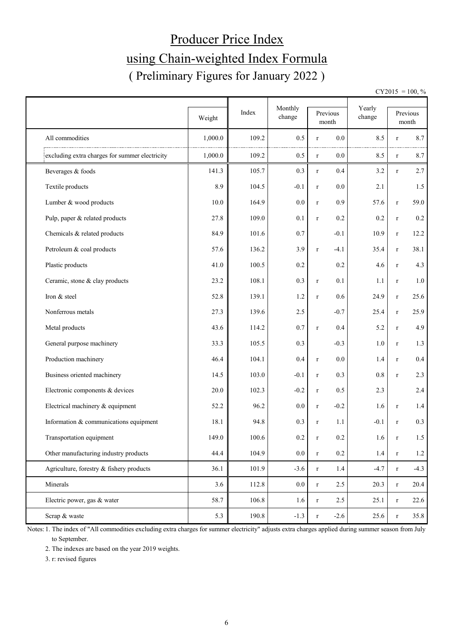# Producer Price Index using Chain-weighted Index Formula ( Preliminary Figures for January 2022 )

 $CY2015 = 100, \%$ 

|                                                | Weight  | Index | Monthly<br>change |             | Previous<br>month | Yearly<br>change |              | Previous<br>month |
|------------------------------------------------|---------|-------|-------------------|-------------|-------------------|------------------|--------------|-------------------|
| All commodities                                | 1,000.0 | 109.2 | 0.5               | $\bf r$     | 0.0               | 8.5              | $\bf r$      | 8.7               |
| excluding extra charges for summer electricity | 1,000.0 | 109.2 | 0.5               | $\bf r$     | $0.0\,$           | 8.5              | $\bf r$      | 8.7               |
| Beverages & foods                              | 141.3   | 105.7 | 0.3               | $\mathbf r$ | 0.4               | 3.2              | $\bf r$      | 2.7               |
|                                                |         |       |                   |             |                   |                  |              |                   |
| Textile products                               | 8.9     | 104.5 | $-0.1$            | $\bf r$     | $0.0\,$           | 2.1              |              | 1.5               |
| Lumber & wood products                         | 10.0    | 164.9 | 0.0               | $\bf r$     | 0.9               | 57.6             | $\bf r$      | 59.0              |
| Pulp, paper & related products                 | 27.8    | 109.0 | 0.1               | $\mathbf r$ | 0.2               | 0.2              | $\bf r$      | $0.2\,$           |
| Chemicals & related products                   | 84.9    | 101.6 | 0.7               |             | $-0.1$            | 10.9             | $\bf r$      | 12.2              |
| Petroleum & coal products                      | 57.6    | 136.2 | 3.9               | $\bf r$     | $-4.1$            | 35.4             | $\bf r$      | 38.1              |
| Plastic products                               | 41.0    | 100.5 | 0.2               |             | 0.2               | 4.6              | $\bf r$      | 4.3               |
| Ceramic, stone & clay products                 | 23.2    | 108.1 | 0.3               | $\bf r$     | 0.1               | 1.1              | $\bf r$      | $1.0\,$           |
| Iron & steel                                   | 52.8    | 139.1 | 1.2               | $\bf r$     | 0.6               | 24.9             | $\bf r$      | 25.6              |
| Nonferrous metals                              | 27.3    | 139.6 | 2.5               |             | $-0.7$            | 25.4             | $\bf r$      | 25.9              |
| Metal products                                 | 43.6    | 114.2 | 0.7               | $\mathbf r$ | 0.4               | 5.2              | $\mathbf{r}$ | 4.9               |
| General purpose machinery                      | 33.3    | 105.5 | 0.3               |             | $-0.3$            | 1.0              | $\bf r$      | 1.3               |
| Production machinery                           | 46.4    | 104.1 | 0.4               | $\bf r$     | 0.0               | 1.4              | $\bf r$      | $0.4\,$           |
| Business oriented machinery                    | 14.5    | 103.0 | $-0.1$            | $\bf r$     | 0.3               | 0.8              | $\bf r$      | 2.3               |
| Electronic components & devices                | 20.0    | 102.3 | $-0.2$            | $\bf r$     | 0.5               | 2.3              |              | 2.4               |
| Electrical machinery & equipment               | 52.2    | 96.2  | 0.0               | $\bf r$     | $-0.2$            | 1.6              | $\bf r$      | 1.4               |
| Information & communications equipment         | 18.1    | 94.8  | 0.3               | $\bf r$     | 1.1               | $-0.1$           | $\mathbf{r}$ | 0.3               |
| Transportation equipment                       | 149.0   | 100.6 | 0.2               | $\mathbf r$ | 0.2               | 1.6              | $\bf r$      | 1.5               |
| Other manufacturing industry products          | 44.4    | 104.9 | $0.0\,$           | $\mathbf r$ | $0.2\,$           | $1.4\,$          | $\bf r$      | $1.2\,$           |
| Agriculture, forestry & fishery products       | 36.1    | 101.9 | $-3.6$            | $\bf r$     | 1.4               | $-4.7$           | $\bf r$      | $-4.3$            |
| Minerals                                       | 3.6     | 112.8 | $0.0\,$           | $\mathbf r$ | 2.5               | 20.3             | $\bf r$      | 20.4              |
| Electric power, gas & water                    | 58.7    | 106.8 | 1.6               | $\bf r$     | 2.5               | 25.1             | $\bf r$      | 22.6              |
| Scrap & waste                                  | 5.3     | 190.8 | $-1.3$            | $\mathbf r$ | $-2.6$            | 25.6             | $\bf r$      | 35.8              |

Notes: 1. The index of "All commodities excluding extra charges for summer electricity" adjusts extra charges applied during summer season from July to September.

2. The indexes are based on the year 2019 weights.

3. r: revised figures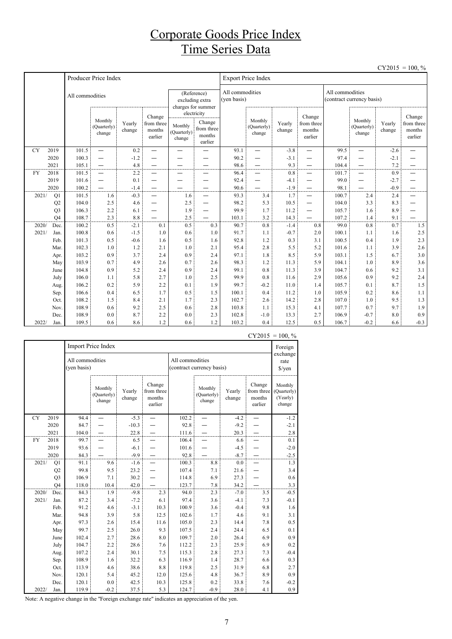## Corporate Goods Price Index Time Series Data

|           |                |                 |                                                      |                  |                                           |                                  |                                                          |                                |                                  |                  |                                           |                 |                                  |                  | $CY2015 = 100, \%$                        |
|-----------|----------------|-----------------|------------------------------------------------------|------------------|-------------------------------------------|----------------------------------|----------------------------------------------------------|--------------------------------|----------------------------------|------------------|-------------------------------------------|-----------------|----------------------------------|------------------|-------------------------------------------|
|           |                |                 | Producer Price Index                                 |                  |                                           |                                  |                                                          |                                | <b>Export Price Index</b>        |                  |                                           |                 |                                  |                  |                                           |
|           |                | All commodities |                                                      |                  |                                           |                                  | (Reference)<br>excluding extra<br>charges for summer     | All commodities<br>(yen basis) |                                  |                  |                                           | All commodities | (contract currency basis)        |                  |                                           |
|           |                |                 | Monthly<br>(Quarterly)<br>change                     | Yearly<br>change | Change<br>from three<br>months<br>earlier | Monthly<br>(Quarterly)<br>change | electricity<br>Change<br>from three<br>months<br>earlier |                                | Monthly<br>(Quarterly)<br>change | Yearly<br>change | Change<br>from three<br>months<br>earlier |                 | Monthly<br>(Quarterly)<br>change | Yearly<br>change | Change<br>from three<br>months<br>earlier |
| <b>CY</b> | 2019           | 101.5           | $\overline{\phantom{0}}$                             | 0.2              | $\overline{\phantom{0}}$                  | $\overline{\phantom{0}}$         |                                                          | 93.1                           | $\overline{\phantom{0}}$         | $-3.8$           | —                                         | 99.5            | $\overline{\phantom{0}}$         | $-2.6$           |                                           |
|           | 2020           | 100.3           | $\overline{\phantom{0}}$                             | $-1.2$           |                                           |                                  |                                                          | 90.2                           | $\overline{\phantom{0}}$         | $-3.1$           | $\overline{\phantom{0}}$                  | 97.4            | $\overline{\phantom{0}}$         | $-2.1$           |                                           |
|           | 2021           | 105.1           | $\overline{\phantom{0}}$                             | 4.8              |                                           |                                  |                                                          | 98.6                           | $\overline{\phantom{0}}$         | 9.3              | —                                         | 104.4           | —                                | 7.2              |                                           |
| <b>FY</b> | 2018           | 101.5           | $\overline{\phantom{0}}$                             | 2.2              |                                           | —                                |                                                          | 96.4                           | -                                | 0.8              | $\overline{\phantom{0}}$                  | 101.7           | $\overline{\phantom{0}}$         | 0.9              | —                                         |
|           | 2019<br>2020   | 101.6<br>100.2  | $\overline{\phantom{0}}$<br>$\overline{\phantom{0}}$ | 0.1              | —                                         | -                                |                                                          | 92.4                           | -<br>$\overline{\phantom{0}}$    | $-4.1$<br>$-1.9$ | -<br>$\overline{\phantom{0}}$             | 99.0<br>98.1    | —                                | $-2.7$<br>$-0.9$ | —                                         |
| 2021/     | Q1             | 101.5           | 1.6                                                  | $-1.4$<br>$-0.3$ | $\overline{\phantom{0}}$                  | 1.6                              | $\overline{\phantom{0}}$                                 | 90.6<br>93.3                   | 3.4                              | 1.7              | $\overline{\phantom{0}}$                  | 100.7           | —<br>2.4                         | 2.4              | —<br>$\overline{\phantom{0}}$             |
|           | Q2             | 104.0           | 2.5                                                  | 4.6              |                                           | 2.5                              | $\overline{\phantom{0}}$                                 | 98.2                           | 5.3                              | 10.5             | —                                         | 104.0           | 3.3                              | 8.3              | —                                         |
|           | Q <sub>3</sub> | 106.3           | 2.2                                                  | 6.1              | —                                         | 1.9                              | $\overline{\phantom{0}}$                                 | 99.9                           | 1.7                              | 11.2             | —                                         | 105.7           | 1.6                              | 8.9              |                                           |
|           | O <sub>4</sub> | 108.7           | 2.3                                                  | 8.8              |                                           | 2.5                              |                                                          | 103.1                          | 3.2                              | 14.3             |                                           | 107.2           | 1.4                              | 9.1              |                                           |
| 2020/     | Dec.           | 100.2           | 0.5                                                  | $-2.1$           | 0.1                                       | 0.5                              | 0.3                                                      | 90.7                           | 0.8                              | $-1.4$           | 0.8                                       | 99.0            | 0.8                              | 0.7              | 1.5                                       |
| 2021/     | Jan.           | 100.8           | 0.6                                                  | $-1.5$           | 1.0                                       | 0.6                              | 1.0                                                      | 91.7                           | 1.1                              | $-0.7$           | 2.0                                       | 100.1           | 1.1                              | 1.6              | 2.5                                       |
|           | Feb.           | 101.3           | 0.5                                                  | $-0.6$           | 1.6                                       | 0.5                              | 1.6                                                      | 92.8                           | 1.2                              | 0.3              | 3.1                                       | 100.5           | 0.4                              | 1.9              | 2.3                                       |
|           | Mar.           | 102.3           | 1.0                                                  | 1.2              | 2.1                                       | 1.0                              | 2.1                                                      | 95.4                           | 2.8                              | 5.5              | 5.2                                       | 101.6           | 1.1                              | 3.9              | 2.6                                       |
|           | Apr.           | 103.2           | 0.9                                                  | 3.7              | 2.4                                       | 0.9                              | 2.4                                                      | 97.1                           | 1.8                              | 8.5              | 5.9                                       | 103.1           | 1.5                              | 6.7              | 3.0                                       |
|           | May            | 103.9           | 0.7                                                  | 4.9              | 2.6                                       | 0.7                              | 2.6                                                      | 98.3                           | 1.2                              | 11.3             | 5.9                                       | 104.1           | 1.0                              | 8.9              | 3.6                                       |
|           | June           | 104.8           | 0.9                                                  | 5.2              | 2.4                                       | 0.9                              | 2.4                                                      | 99.1                           | 0.8                              | 11.3             | 3.9                                       | 104.7           | 0.6                              | 9.2              | 3.1                                       |
|           | July           | 106.0           | 1.1                                                  | 5.8              | 2.7                                       | 1.0                              | 2.5                                                      | 99.9                           | 0.8                              | 11.6             | 2.9                                       | 105.6           | 0.9                              | 9.2              | 2.4                                       |
|           | Aug.           | 106.2           | 0.2                                                  | 5.9              | 2.2                                       | 0.1                              | 1.9                                                      | 99.7                           | $-0.2$                           | 11.0             | 1.4                                       | 105.7           | 0.1                              | 8.7              | 1.5                                       |
|           | Sep.           | 106.6           | 0.4                                                  | 6.5              | 1.7                                       | 0.5                              | 1.5                                                      | 100.1                          | 0.4                              | 11.2             | 1.0                                       | 105.9           | 0.2                              | 8.6              | 1.1                                       |
|           | Oct.           | 108.2           | 1.5                                                  | 8.4              | 2.1                                       | 1.7                              | 2.3                                                      | 102.7                          | 2.6                              | 14.2             | 2.8                                       | 107.0           | 1.0                              | 9.5              | 1.3                                       |
|           | Nov.           | 108.9           | 0.6                                                  | 9.2              | 2.5                                       | 0.6                              | 2.8                                                      | 103.8                          | 1.1                              | 15.3             | 4.1                                       | 107.7           | 0.7                              | 9.7              | 1.9                                       |
|           | Dec.           | 108.9           | 0.0                                                  | 8.7              | 2.2                                       | 0.0                              | 2.3                                                      | 102.8                          | $-1.0$                           | 13.3             | 2.7                                       | 106.9           | $-0.7$                           | 8.0              | 0.9                                       |
| 2022/     | Jan.           | 109.5           | 0.6                                                  | 8.6              | 1.2                                       | 0.6                              | 1.2                                                      | 103.2                          | 0.4                              | 12.5             | 0.5                                       | 106.7           | $-0.2$                           | 6.6              | $-0.3$                                    |

|           |                |                                | Import Price Index               |                  |                                           |                                              |                                  |                            | - 1 - 0 1 -                               | 100, 70<br>Foreign                           |
|-----------|----------------|--------------------------------|----------------------------------|------------------|-------------------------------------------|----------------------------------------------|----------------------------------|----------------------------|-------------------------------------------|----------------------------------------------|
|           |                | All commodities<br>(yen basis) |                                  |                  |                                           | All commodities<br>(contract currency basis) |                                  | exchange<br>rate<br>\$/yen |                                           |                                              |
|           |                |                                | Monthly<br>(Quarterly)<br>change | Yearly<br>change | Change<br>from three<br>months<br>earlier |                                              | Monthly<br>(Quarterly)<br>change | Yearly<br>change           | Change<br>from three<br>months<br>earlier | Monthly<br>(Quarterly)<br>(Yearly)<br>change |
| CY        | 2019           | 94.4                           |                                  | $-5.3$           | $\overline{\phantom{0}}$                  | 102.2                                        |                                  | $-4.2$                     | $\overline{\phantom{0}}$                  | $-1.2$                                       |
|           | 2020           | 84.7                           |                                  | $-10.3$          |                                           | 92.8                                         |                                  | $-9.2$                     |                                           | $-2.1$                                       |
|           | 2021           | 104.0                          |                                  | 22.8             |                                           | 111.6                                        |                                  | 20.3                       |                                           | $2.8\,$                                      |
| <b>FY</b> | 2018           | 99.7                           |                                  | 6.5              |                                           | 106.4                                        |                                  | 6.6                        |                                           | 0.1                                          |
|           | 2019           | 93.6                           |                                  | $-6.1$           |                                           | 101.6                                        |                                  | $-4.5$                     |                                           | $-2.0$                                       |
|           | 2020           | 84.3                           |                                  | $-9.9$           |                                           | 92.8                                         |                                  | $-8.7$                     |                                           | $-2.5$                                       |
| 2021/     | Q1             | 91.1                           | 9.6                              | $-1.6$           |                                           | 100.3                                        | 8.8                              | 0.0                        |                                           | 1.3                                          |
|           | Q2             | 99.8                           | 9.5                              | 23.2             |                                           | 107.4                                        | 7.1                              | 21.6                       |                                           | 3.4                                          |
|           | Q <sub>3</sub> | 106.9                          | 7.1                              | 30.2             |                                           | 114.8                                        | 6.9                              | 27.3                       |                                           | 0.6                                          |
|           | O <sub>4</sub> | 118.0                          | 10.4                             | 42.0             |                                           | 123.7                                        | 7.8                              | 34.2                       |                                           | 3.3                                          |
| 2020/     | Dec.           | 84.3                           | 1.9                              | $-9.8$           | 2.3                                       | 94.0                                         | 2.3                              | $-7.0$                     | 3.5                                       | $-0.5$                                       |
| 2021/     | Jan.           | 87.2                           | 3.4                              | $-7.2$           | 6.1                                       | 97.4                                         | 3.6                              | $-4.1$                     | 7.3                                       | $-0.1$                                       |
|           | Feb.           | 91.2                           | 4.6                              | $-3.1$           | 10.3                                      | 100.9                                        | 3.6                              | $-0.4$                     | 9.8                                       | 1.6                                          |
|           | Mar.           | 94.8                           | 3.9                              | 5.8              | 12.5                                      | 102.6                                        | 1.7                              | 4.6                        | 9.1                                       | 3.1                                          |
|           | Apr.           | 97.3                           | 2.6                              | 15.4             | 11.6                                      | 105.0                                        | 2.3                              | 14.4                       | 7.8                                       | 0.5                                          |
|           | May            | 99.7                           | 2.5                              | 26.0             | 9.3                                       | 107.5                                        | 2.4                              | 24.4                       | 6.5                                       | 0.1                                          |
|           | June           | 102.4                          | 2.7                              | 28.6             | 8.0                                       | 109.7                                        | 2.0                              | 26.4                       | 6.9                                       | 0.9                                          |
|           | July           | 104.7                          | 2.2                              | 28.6             | 7.6                                       | 112.2                                        | 2.3                              | 25.9                       | 6.9                                       | 0.2                                          |
|           | Aug.           | 107.2                          | 2.4                              | 30.1             | 7.5                                       | 115.3                                        | 2.8                              | 27.3                       | 7.3                                       | $-0.4$                                       |
|           | Sep.           | 108.9                          | 1.6                              | 32.2             | 6.3                                       | 116.9                                        | 1.4                              | 28.7                       | 6.6                                       | 0.3                                          |
|           | Oct.           | 113.9                          | 4.6                              | 38.6             | 8.8                                       | 119.8                                        | 2.5                              | 31.9                       | 6.8                                       | 2.7                                          |
|           | Nov.           | 120.1                          | 5.4                              | 45.2             | 12.0                                      | 125.6                                        | 4.8                              | 36.7                       | 8.9                                       | 0.9                                          |
|           | Dec.           | 120.1                          | 0.0                              | 42.5             | 10.3                                      | 125.8                                        | 0.2                              | 33.8                       | 7.6                                       | $-0.2$                                       |
| 2022/     | Jan.           | 119.9                          | $-0.2$                           | 37.5             | 5.3                                       | 124.7                                        | $-0.9$                           | 28.0                       | 4.1                                       | 0.9                                          |

 $CY2015 = 100, \%$ 

Note: A negative change in the "Foreign exchange rate" indicates an appreciation of the yen.